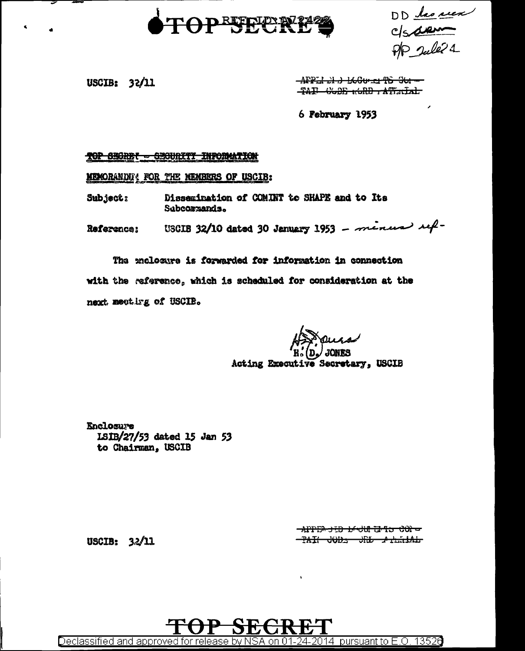

DD les mes

USCIB:  $32/11$ 

 $\frac{APPL1}{APL1}$   $\rightarrow$   $\frac{1}{2}$   $\frac{1}{2}$   $\frac{1}{2}$   $\frac{1}{2}$   $\frac{1}{2}$   $\frac{1}{2}$   $\frac{1}{2}$   $\frac{1}{2}$   $\frac{1}{2}$   $\frac{1}{2}$   $\frac{1}{2}$   $\frac{1}{2}$   $\frac{1}{2}$   $\frac{1}{2}$   $\frac{1}{2}$   $\frac{1}{2}$   $\frac{1}{2}$   $\frac{1}{2}$   $\frac{1}{2}$   $\frac{1}{2}$ TAP GOOB RORD ATTRIAL

6 February 1953

TOP SHORE - SEGURITI INFORMATION

MEMORANDU: FOR THE MEMBERS OF USCIB:

Dissemination of COMINT to SHAPE and to Its Subject: Subcomands.

USCIB 32/10 dated 30 January 1953 - minus ref-Reference:

The enclosure is forwarded for information in connection with the reference, which is scheduled for consideration at the next meeting of USCIB.

**JONES** 

Acting Executive Secretary, USCIB

Enclosure ISIB/27/53 dated 15 Jan 53 to Chairman, USCIB

> AFFEN JED LOUI EN 15 COP think will all the

USCIB:  $32/11$ 

Declassified and approved for release by NSA on 01-24-2014 pursuant to E.O. 13526